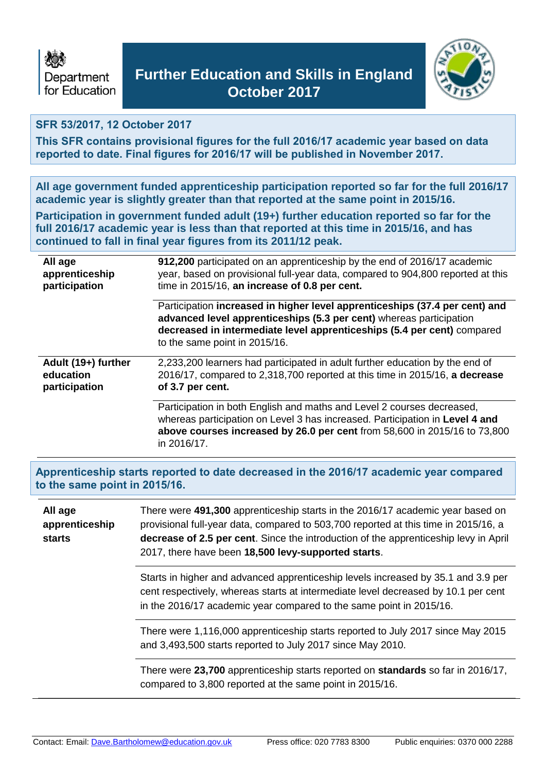



# **SFR 53/2017, 12 October 2017**

**This SFR contains provisional figures for the full 2016/17 academic year based on data reported to date. Final figures for 2016/17 will be published in November 2017.**

**All age government funded apprenticeship participation reported so far for the full 2016/17 academic year is slightly greater than that reported at the same point in 2015/16.**

**Participation in government funded adult (19+) further education reported so far for the full 2016/17 academic year is less than that reported at this time in 2015/16, and has continued to fall in final year figures from its 2011/12 peak.**

| All age             | 912,200 participated on an apprenticeship by the end of 2016/17 academic                                                                                                                                                                                       |
|---------------------|----------------------------------------------------------------------------------------------------------------------------------------------------------------------------------------------------------------------------------------------------------------|
| apprenticeship      | year, based on provisional full-year data, compared to 904,800 reported at this                                                                                                                                                                                |
| participation       | time in 2015/16, an increase of 0.8 per cent.                                                                                                                                                                                                                  |
|                     | Participation increased in higher level apprenticeships (37.4 per cent) and<br>advanced level apprenticeships (5.3 per cent) whereas participation<br>decreased in intermediate level apprenticeships (5.4 per cent) compared<br>to the same point in 2015/16. |
| Adult (19+) further | 2,233,200 learners had participated in adult further education by the end of                                                                                                                                                                                   |
| education           | 2016/17, compared to 2,318,700 reported at this time in 2015/16, a decrease                                                                                                                                                                                    |
| participation       | of 3.7 per cent.                                                                                                                                                                                                                                               |
|                     | Participation in both English and maths and Level 2 courses decreased,<br>whereas participation on Level 3 has increased. Participation in Level 4 and<br>above courses increased by 26.0 per cent from 58,600 in 2015/16 to 73,800<br>in 2016/17.             |

**Apprenticeship starts reported to date decreased in the 2016/17 academic year compared to the same point in 2015/16.**

| All age<br>apprenticeship<br><b>starts</b> | There were 491,300 apprenticeship starts in the 2016/17 academic year based on<br>provisional full-year data, compared to 503,700 reported at this time in 2015/16, a<br>decrease of 2.5 per cent. Since the introduction of the apprenticeship levy in April<br>2017, there have been 18,500 levy-supported starts. |
|--------------------------------------------|----------------------------------------------------------------------------------------------------------------------------------------------------------------------------------------------------------------------------------------------------------------------------------------------------------------------|
|                                            | Starts in higher and advanced apprenticeship levels increased by 35.1 and 3.9 per<br>cent respectively, whereas starts at intermediate level decreased by 10.1 per cent<br>in the 2016/17 academic year compared to the same point in 2015/16.                                                                       |
|                                            | There were 1,116,000 apprenticeship starts reported to July 2017 since May 2015<br>and 3,493,500 starts reported to July 2017 since May 2010.                                                                                                                                                                        |
|                                            | There were 23,700 apprenticeship starts reported on standards so far in 2016/17,<br>compared to 3,800 reported at the same point in 2015/16.                                                                                                                                                                         |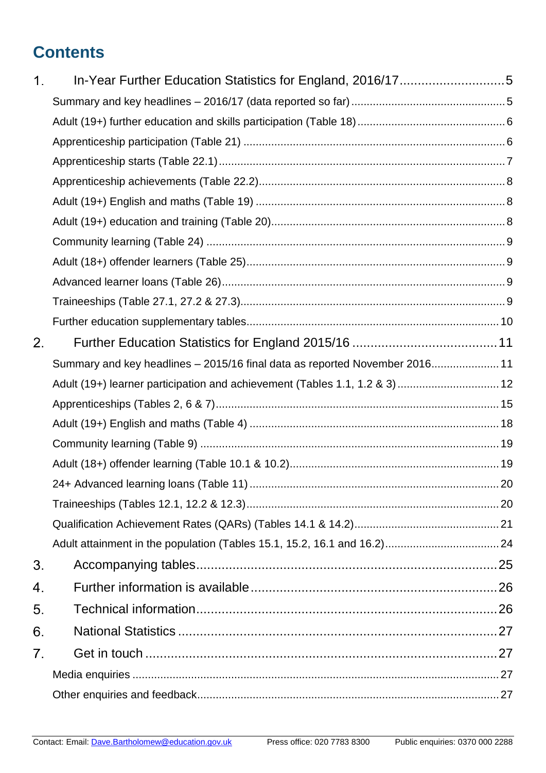# **Contents**

| 1. |                                                                             |  |
|----|-----------------------------------------------------------------------------|--|
|    |                                                                             |  |
|    |                                                                             |  |
|    |                                                                             |  |
|    |                                                                             |  |
|    |                                                                             |  |
|    |                                                                             |  |
|    |                                                                             |  |
|    |                                                                             |  |
|    |                                                                             |  |
|    |                                                                             |  |
|    |                                                                             |  |
|    |                                                                             |  |
| 2. |                                                                             |  |
|    | Summary and key headlines - 2015/16 final data as reported November 2016 11 |  |
|    | Adult (19+) learner participation and achievement (Tables 1.1, 1.2 & 3)  12 |  |
|    |                                                                             |  |
|    |                                                                             |  |
|    |                                                                             |  |
|    |                                                                             |  |
|    |                                                                             |  |
|    |                                                                             |  |
|    |                                                                             |  |
|    |                                                                             |  |
| 3. |                                                                             |  |
| 4. |                                                                             |  |
| 5. |                                                                             |  |
| 6. |                                                                             |  |
| 7. |                                                                             |  |
|    |                                                                             |  |
|    |                                                                             |  |
|    |                                                                             |  |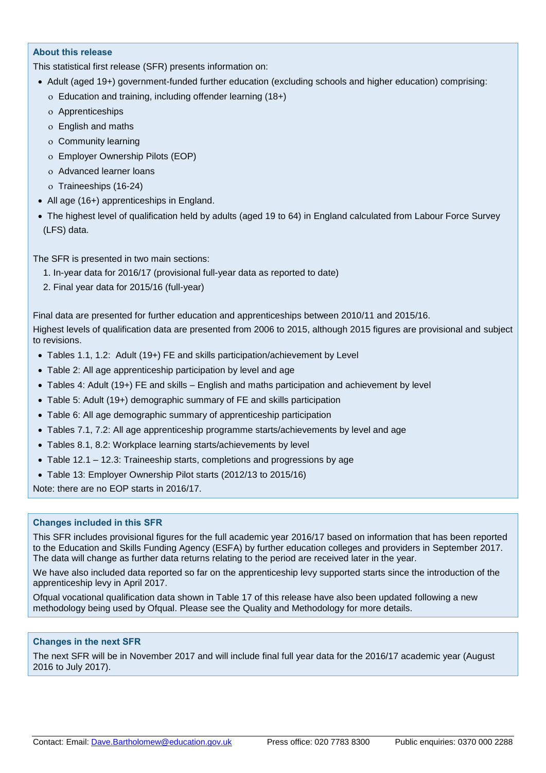#### **About this release**

This statistical first release (SFR) presents information on:

- Adult (aged 19+) government-funded further education (excluding schools and higher education) comprising:
	- Education and training, including offender learning (18+)
	- Apprenticeships
	- English and maths
	- Community learning
	- Employer Ownership Pilots (EOP)
	- Advanced learner loans
	- o Traineeships (16-24)
- All age (16+) apprenticeships in England.
- The highest level of qualification held by adults (aged 19 to 64) in England calculated from Labour Force Survey (LFS) data.

The SFR is presented in two main sections:

- 1. In-year data for 2016/17 (provisional full-year data as reported to date)
- 2. Final year data for 2015/16 (full-year)

Final data are presented for further education and apprenticeships between 2010/11 and 2015/16.

Highest levels of qualification data are presented from 2006 to 2015, although 2015 figures are provisional and subject to revisions.

- Tables 1.1, 1.2: Adult (19+) FE and skills participation/achievement by Level
- Table 2: All age apprenticeship participation by level and age
- Tables 4: Adult (19+) FE and skills English and maths participation and achievement by level
- Table 5: Adult (19+) demographic summary of FE and skills participation
- Table 6: All age demographic summary of apprenticeship participation
- Tables 7.1, 7.2: All age apprenticeship programme starts/achievements by level and age
- Tables 8.1, 8.2: Workplace learning starts/achievements by level
- Table 12.1 12.3: Traineeship starts, completions and progressions by age
- Table 13: Employer Ownership Pilot starts (2012/13 to 2015/16)

Note: there are no EOP starts in 2016/17.

#### **Changes included in this SFR**

This SFR includes provisional figures for the full academic year 2016/17 based on information that has been reported to the Education and Skills Funding Agency (ESFA) by further education colleges and providers in September 2017. The data will change as further data returns relating to the period are received later in the year.

We have also included data reported so far on the apprenticeship levy supported starts since the introduction of the apprenticeship levy in April 2017.

Ofqual vocational qualification data shown in Table 17 of this release have also been updated following a new methodology being used by Ofqual. Please see the Quality and Methodology for more details.

#### **Changes in the next SFR**

The next SFR will be in November 2017 and will include final full year data for the 2016/17 academic year (August 2016 to July 2017).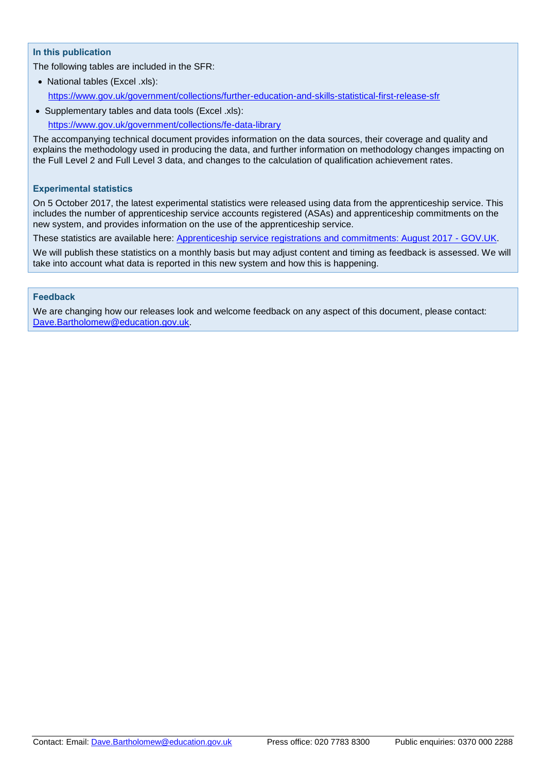#### **In this publication**

The following tables are included in the SFR:

- National tables (Excel .xls): <https://www.gov.uk/government/collections/further-education-and-skills-statistical-first-release-sfr>
- Supplementary tables and data tools (Excel .xls): <https://www.gov.uk/government/collections/fe-data-library>

The accompanying technical document provides information on the data sources, their coverage and quality and explains the methodology used in producing the data, and further information on methodology changes impacting on the Full Level 2 and Full Level 3 data, and changes to the calculation of qualification achievement rates.

#### **Experimental statistics**

On 5 October 2017, the latest experimental statistics were released using data from the apprenticeship service. This includes the number of apprenticeship service accounts registered (ASAs) and apprenticeship commitments on the new system, and provides information on the use of the apprenticeship service.

These statistics are available here: [Apprenticeship service registrations and commitments: August 2017 -](https://www.gov.uk/government/statistics/apprenticeship-service-registrations-and-commitments-august-2017) GOV.UK.

We will publish these statistics on a monthly basis but may adjust content and timing as feedback is assessed. We will take into account what data is reported in this new system and how this is happening.

#### **Feedback**

We are changing how our releases look and welcome feedback on any aspect of this document, please contact: [Dave.Bartholomew@education.gov.uk.](mailto:Dave.Bartholomew@education.gov.uk)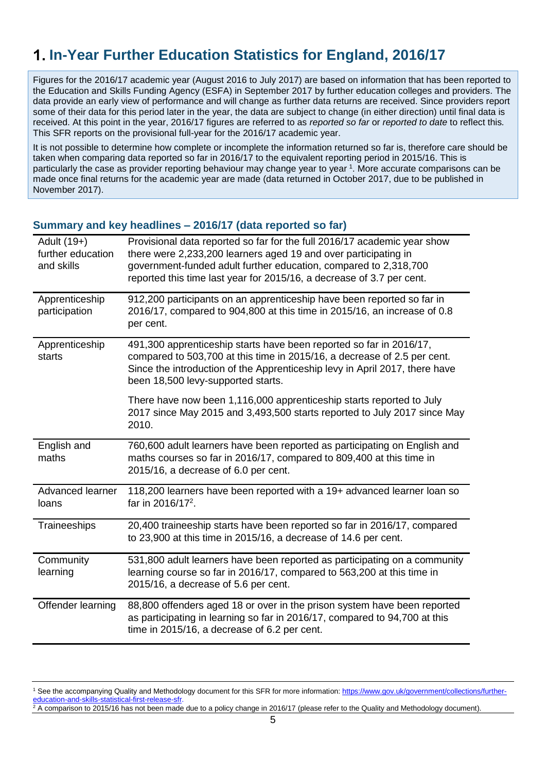# <span id="page-4-0"></span>**In-Year Further Education Statistics for England, 2016/17**

Figures for the 2016/17 academic year (August 2016 to July 2017) are based on information that has been reported to the Education and Skills Funding Agency (ESFA) in September 2017 by further education colleges and providers. The data provide an early view of performance and will change as further data returns are received. Since providers report some of their data for this period later in the year, the data are subject to change (in either direction) until final data is received. At this point in the year, 2016/17 figures are referred to as *reported so far* or *reported to date* to reflect this*.* This SFR reports on the provisional full-year for the 2016/17 academic year.

It is not possible to determine how complete or incomplete the information returned so far is, therefore care should be taken when comparing data reported so far in 2016/17 to the equivalent reporting period in 2015/16. This is particularly the case as provider reporting behaviour may change year to year <sup>1</sup> . More accurate comparisons can be made once final returns for the academic year are made (data returned in October 2017, due to be published in November 2017).

#### <span id="page-4-1"></span>**Summary and key headlines – 2016/17 (data reported so far)**

| Adult (19+)<br>further education<br>and skills | Provisional data reported so far for the full 2016/17 academic year show<br>there were 2,233,200 learners aged 19 and over participating in<br>government-funded adult further education, compared to 2,318,700<br>reported this time last year for 2015/16, a decrease of 3.7 per cent. |
|------------------------------------------------|------------------------------------------------------------------------------------------------------------------------------------------------------------------------------------------------------------------------------------------------------------------------------------------|
| Apprenticeship<br>participation                | 912,200 participants on an apprenticeship have been reported so far in<br>2016/17, compared to 904,800 at this time in 2015/16, an increase of 0.8<br>per cent.                                                                                                                          |
| Apprenticeship<br>starts                       | 491,300 apprenticeship starts have been reported so far in 2016/17,<br>compared to 503,700 at this time in 2015/16, a decrease of 2.5 per cent.<br>Since the introduction of the Apprenticeship levy in April 2017, there have<br>been 18,500 levy-supported starts.                     |
|                                                | There have now been 1,116,000 apprenticeship starts reported to July<br>2017 since May 2015 and 3,493,500 starts reported to July 2017 since May<br>2010.                                                                                                                                |
| English and                                    | 760,600 adult learners have been reported as participating on English and                                                                                                                                                                                                                |
| maths                                          | maths courses so far in 2016/17, compared to 809,400 at this time in<br>2015/16, a decrease of 6.0 per cent.                                                                                                                                                                             |
| Advanced learner<br>loans                      | 118,200 learners have been reported with a 19+ advanced learner loan so<br>far in 2016/17 <sup>2</sup> .                                                                                                                                                                                 |
| Traineeships                                   | 20,400 traineeship starts have been reported so far in 2016/17, compared<br>to 23,900 at this time in 2015/16, a decrease of 14.6 per cent.                                                                                                                                              |
| Community<br>learning                          | 531,800 adult learners have been reported as participating on a community<br>learning course so far in 2016/17, compared to 563,200 at this time in<br>2015/16, a decrease of 5.6 per cent.                                                                                              |

<sup>1</sup> See the accompanying Quality and Methodology document for this SFR for more information[: https://www.gov.uk/government/collections/further](https://www.gov.uk/government/collections/further-education-and-skills-statistical-first-release-sfr)education-and-sk

 $^2$  A comparison to 2015/16 has not been made due to a policy change in 2016/17 (please refer to the Quality and Methodology document).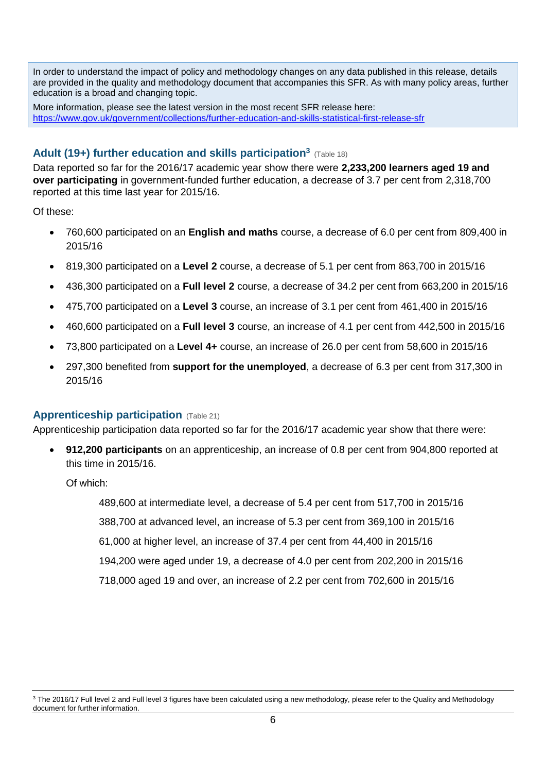In order to understand the impact of policy and methodology changes on any data published in this release, details are provided in the quality and methodology document that accompanies this SFR. As with many policy areas, further education is a broad and changing topic.

More information, please see the latest version in the most recent SFR release here: <https://www.gov.uk/government/collections/further-education-and-skills-statistical-first-release-sfr>

# <span id="page-5-0"></span>**Adult (19+) further education and skills participation<sup>3</sup>** (Table 18)

Data reported so far for the 2016/17 academic year show there were **2,233,200 learners aged 19 and over participating** in government-funded further education, a decrease of 3.7 per cent from 2,318,700 reported at this time last year for 2015/16.

Of these:

- 760,600 participated on an **English and maths** course, a decrease of 6.0 per cent from 809,400 in 2015/16
- 819,300 participated on a **Level 2** course, a decrease of 5.1 per cent from 863,700 in 2015/16
- 436,300 participated on a **Full level 2** course, a decrease of 34.2 per cent from 663,200 in 2015/16
- 475,700 participated on a **Level 3** course, an increase of 3.1 per cent from 461,400 in 2015/16
- 460,600 participated on a **Full level 3** course, an increase of 4.1 per cent from 442,500 in 2015/16
- 73,800 participated on a **Level 4+** course, an increase of 26.0 per cent from 58,600 in 2015/16
- 297,300 benefited from **support for the unemployed**, a decrease of 6.3 per cent from 317,300 in 2015/16

### <span id="page-5-1"></span>**Apprenticeship participation** (Table 21)

Apprenticeship participation data reported so far for the 2016/17 academic year show that there were:

 **912,200 participants** on an apprenticeship, an increase of 0.8 per cent from 904,800 reported at this time in 2015/16.

Of which:

489,600 at intermediate level, a decrease of 5.4 per cent from 517,700 in 2015/16 388,700 at advanced level, an increase of 5.3 per cent from 369,100 in 2015/16 61,000 at higher level, an increase of 37.4 per cent from 44,400 in 2015/16 194,200 were aged under 19, a decrease of 4.0 per cent from 202,200 in 2015/16 718,000 aged 19 and over, an increase of 2.2 per cent from 702,600 in 2015/16

<sup>&</sup>lt;sup>3</sup> The 2016/17 Full level 2 and Full level 3 figures have been calculated using a new methodology, please refer to the Quality and Methodology document for further information.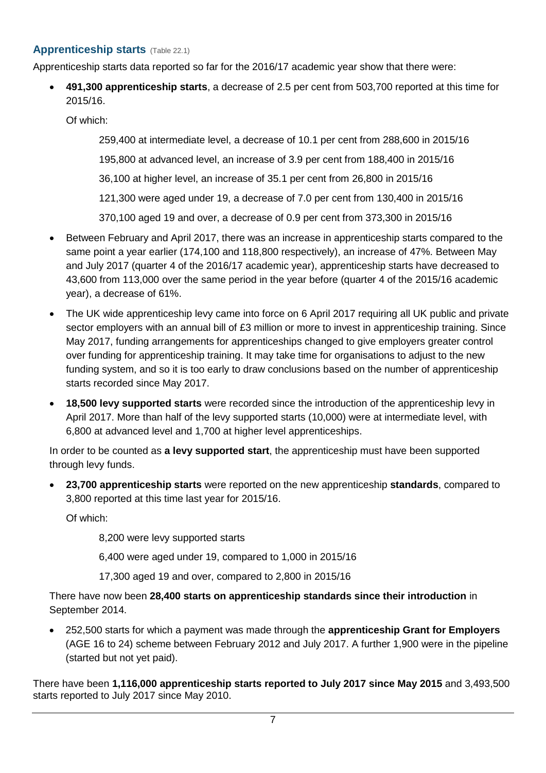## <span id="page-6-0"></span>**Apprenticeship starts** (Table 22.1)

Apprenticeship starts data reported so far for the 2016/17 academic year show that there were:

 **491,300 apprenticeship starts**, a decrease of 2.5 per cent from 503,700 reported at this time for 2015/16.

Of which:

259,400 at intermediate level, a decrease of 10.1 per cent from 288,600 in 2015/16

195,800 at advanced level, an increase of 3.9 per cent from 188,400 in 2015/16

36,100 at higher level, an increase of 35.1 per cent from 26,800 in 2015/16

121,300 were aged under 19, a decrease of 7.0 per cent from 130,400 in 2015/16

370,100 aged 19 and over, a decrease of 0.9 per cent from 373,300 in 2015/16

- Between February and April 2017, there was an increase in apprenticeship starts compared to the same point a year earlier (174,100 and 118,800 respectively), an increase of 47%. Between May and July 2017 (quarter 4 of the 2016/17 academic year), apprenticeship starts have decreased to 43,600 from 113,000 over the same period in the year before (quarter 4 of the 2015/16 academic year), a decrease of 61%.
- The UK wide apprenticeship levy came into force on 6 April 2017 requiring all UK public and private sector employers with an annual bill of £3 million or more to invest in apprenticeship training. Since May 2017, funding arrangements for apprenticeships changed to give employers greater control over funding for apprenticeship training. It may take time for organisations to adjust to the new funding system, and so it is too early to draw conclusions based on the number of apprenticeship starts recorded since May 2017.
- **18,500 levy supported starts** were recorded since the introduction of the apprenticeship levy in April 2017. More than half of the levy supported starts (10,000) were at intermediate level, with 6,800 at advanced level and 1,700 at higher level apprenticeships.

In order to be counted as **a levy supported start**, the apprenticeship must have been supported through levy funds.

 **23,700 apprenticeship starts** were reported on the new apprenticeship **standards**, compared to 3,800 reported at this time last year for 2015/16.

Of which:

8,200 were levy supported starts

6,400 were aged under 19, compared to 1,000 in 2015/16

17,300 aged 19 and over, compared to 2,800 in 2015/16

There have now been **28,400 starts on apprenticeship standards since their introduction** in September 2014.

 252,500 starts for which a payment was made through the **apprenticeship Grant for Employers** (AGE 16 to 24) scheme between February 2012 and July 2017. A further 1,900 were in the pipeline (started but not yet paid).

There have been **1,116,000 apprenticeship starts reported to July 2017 since May 2015** and 3,493,500 starts reported to July 2017 since May 2010.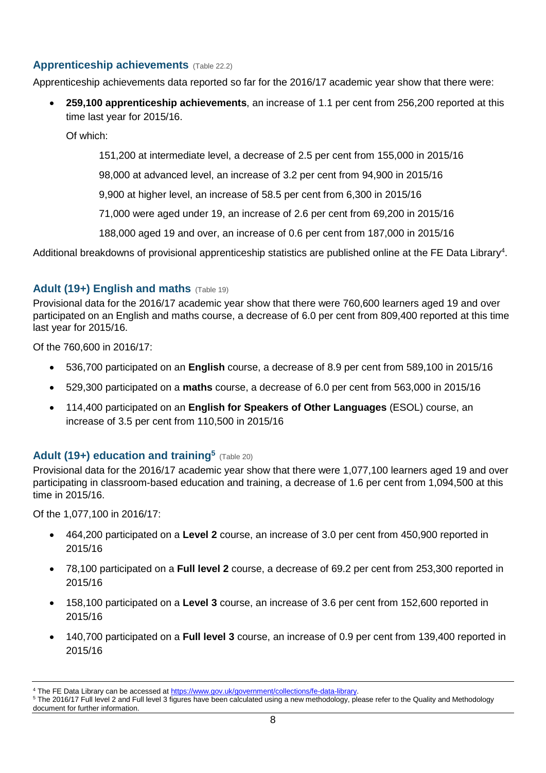# <span id="page-7-0"></span>**Apprenticeship achievements** (Table 22.2)

Apprenticeship achievements data reported so far for the 2016/17 academic year show that there were:

 **259,100 apprenticeship achievements**, an increase of 1.1 per cent from 256,200 reported at this time last year for 2015/16.

Of which:

151,200 at intermediate level, a decrease of 2.5 per cent from 155,000 in 2015/16

98,000 at advanced level, an increase of 3.2 per cent from 94,900 in 2015/16

9,900 at higher level, an increase of 58.5 per cent from 6,300 in 2015/16

71,000 were aged under 19, an increase of 2.6 per cent from 69,200 in 2015/16

188,000 aged 19 and over, an increase of 0.6 per cent from 187,000 in 2015/16

Additional breakdowns of provisional apprenticeship statistics are published online at the FE Data Library<sup>4</sup>.

# <span id="page-7-1"></span>**Adult (19+) English and maths** (Table 19)

Provisional data for the 2016/17 academic year show that there were 760,600 learners aged 19 and over participated on an English and maths course, a decrease of 6.0 per cent from 809,400 reported at this time last year for 2015/16.

Of the 760,600 in 2016/17:

- 536,700 participated on an **English** course, a decrease of 8.9 per cent from 589,100 in 2015/16
- 529,300 participated on a **maths** course, a decrease of 6.0 per cent from 563,000 in 2015/16
- 114,400 participated on an **English for Speakers of Other Languages** (ESOL) course, an increase of 3.5 per cent from 110,500 in 2015/16

# <span id="page-7-2"></span>Adult (19+) education and training<sup>5</sup> (Table 20)

Provisional data for the 2016/17 academic year show that there were 1,077,100 learners aged 19 and over participating in classroom-based education and training, a decrease of 1.6 per cent from 1,094,500 at this time in 2015/16.

Of the 1,077,100 in 2016/17:

- 464,200 participated on a **Level 2** course, an increase of 3.0 per cent from 450,900 reported in 2015/16
- 78,100 participated on a **Full level 2** course, a decrease of 69.2 per cent from 253,300 reported in 2015/16
- 158,100 participated on a **Level 3** course, an increase of 3.6 per cent from 152,600 reported in 2015/16
- 140,700 participated on a **Full level 3** course, an increase of 0.9 per cent from 139,400 reported in 2015/16

<sup>4</sup> The FE Data Library can be accessed a[t https://www.gov.uk/government/collections/fe-data-library.](https://www.gov.uk/government/collections/fe-data-library)

<sup>&</sup>lt;sup>5</sup> The 2016/17 Full level 2 and Full level 3 figures have been calculated using a new methodology, please refer to the Quality and Methodology document for further information.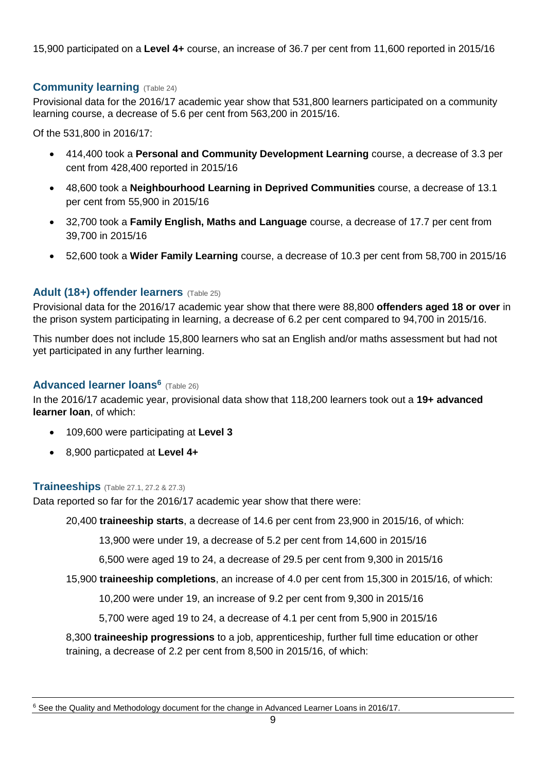15,900 participated on a **Level 4+** course, an increase of 36.7 per cent from 11,600 reported in 2015/16

## <span id="page-8-0"></span>**Community learning** (Table 24)

Provisional data for the 2016/17 academic year show that 531,800 learners participated on a community learning course, a decrease of 5.6 per cent from 563,200 in 2015/16.

Of the 531,800 in 2016/17:

- 414,400 took a **Personal and Community Development Learning** course, a decrease of 3.3 per cent from 428,400 reported in 2015/16
- 48,600 took a **Neighbourhood Learning in Deprived Communities** course, a decrease of 13.1 per cent from 55,900 in 2015/16
- 32,700 took a **Family English, Maths and Language** course, a decrease of 17.7 per cent from 39,700 in 2015/16
- 52,600 took a **Wider Family Learning** course, a decrease of 10.3 per cent from 58,700 in 2015/16

### <span id="page-8-1"></span>**Adult (18+) offender learners** (Table 25)

Provisional data for the 2016/17 academic year show that there were 88,800 **offenders aged 18 or over** in the prison system participating in learning, a decrease of 6.2 per cent compared to 94,700 in 2015/16.

This number does not include 15,800 learners who sat an English and/or maths assessment but had not yet participated in any further learning.

### <span id="page-8-2"></span>**Advanced learner loans<sup>6</sup>** (Table 26)

In the 2016/17 academic year, provisional data show that 118,200 learners took out a **19+ advanced learner loan**, of which:

- 109,600 were participating at **Level 3**
- 8,900 particpated at **Level 4+**

### <span id="page-8-3"></span>**Traineeships** (Table 27.1, 27.2 & 27.3)

Data reported so far for the 2016/17 academic year show that there were:

20,400 **traineeship starts**, a decrease of 14.6 per cent from 23,900 in 2015/16, of which:

13,900 were under 19, a decrease of 5.2 per cent from 14,600 in 2015/16

6,500 were aged 19 to 24, a decrease of 29.5 per cent from 9,300 in 2015/16

15,900 **traineeship completions**, an increase of 4.0 per cent from 15,300 in 2015/16, of which:

10,200 were under 19, an increase of 9.2 per cent from 9,300 in 2015/16

5,700 were aged 19 to 24, a decrease of 4.1 per cent from 5,900 in 2015/16

8,300 **traineeship progressions** to a job, apprenticeship, further full time education or other training, a decrease of 2.2 per cent from 8,500 in 2015/16, of which: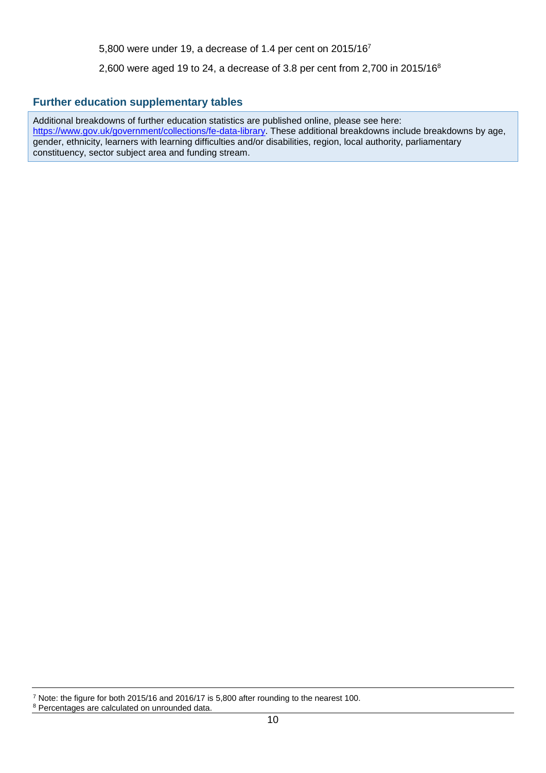5,800 were under 19, a decrease of 1.4 per cent on 2015/16<sup>7</sup>

2,600 were aged 19 to 24, a decrease of 3.8 per cent from 2,700 in 2015/16<sup>8</sup>

#### <span id="page-9-0"></span>**Further education supplementary tables**

Additional breakdowns of further education statistics are published online, please see here: [https://www.gov.uk/government/collections/fe-data-library.](https://www.gov.uk/government/collections/fe-data-library) These additional breakdowns include breakdowns by age, gender, ethnicity, learners with learning difficulties and/or disabilities, region, local authority, parliamentary constituency, sector subject area and funding stream.

<sup>7</sup> Note: the figure for both 2015/16 and 2016/17 is 5,800 after rounding to the nearest 100.

<sup>8</sup> Percentages are calculated on unrounded data.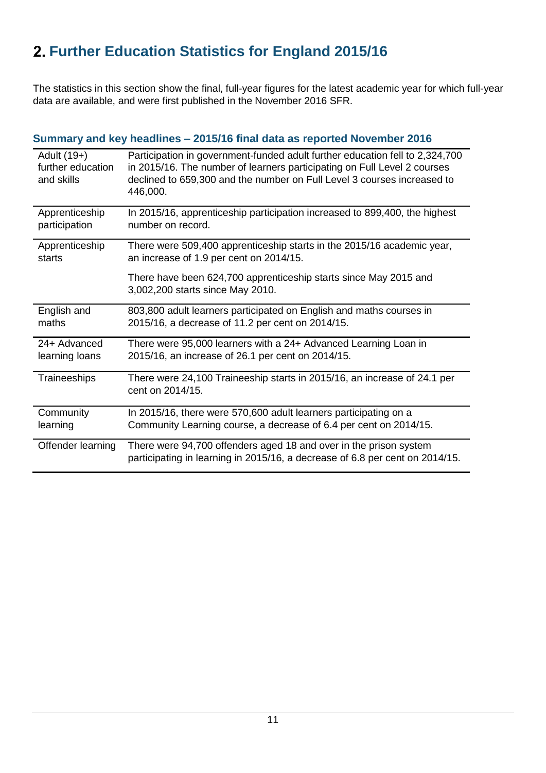# <span id="page-10-0"></span>**Further Education Statistics for England 2015/16**

The statistics in this section show the final, full-year figures for the latest academic year for which full-year data are available, and were first published in the November 2016 SFR.

|                                                | Summary and key headlines – 2015/16 final data as reported November 2016                                                                                                                                                                        |
|------------------------------------------------|-------------------------------------------------------------------------------------------------------------------------------------------------------------------------------------------------------------------------------------------------|
| Adult (19+)<br>further education<br>and skills | Participation in government-funded adult further education fell to 2,324,700<br>in 2015/16. The number of learners participating on Full Level 2 courses<br>declined to 659,300 and the number on Full Level 3 courses increased to<br>446,000. |
| Apprenticeship                                 | In 2015/16, apprenticeship participation increased to 899,400, the highest                                                                                                                                                                      |
| participation                                  | number on record.                                                                                                                                                                                                                               |
| Apprenticeship                                 | There were 509,400 apprenticeship starts in the 2015/16 academic year,                                                                                                                                                                          |
| starts                                         | an increase of 1.9 per cent on 2014/15.                                                                                                                                                                                                         |
|                                                | There have been 624,700 apprenticeship starts since May 2015 and<br>3,002,200 starts since May 2010.                                                                                                                                            |
| English and                                    | 803,800 adult learners participated on English and maths courses in                                                                                                                                                                             |
| maths                                          | 2015/16, a decrease of 11.2 per cent on 2014/15.                                                                                                                                                                                                |
| 24+ Advanced                                   | There were 95,000 learners with a 24+ Advanced Learning Loan in                                                                                                                                                                                 |
| learning loans                                 | 2015/16, an increase of 26.1 per cent on 2014/15.                                                                                                                                                                                               |
| Traineeships                                   | There were 24,100 Traineeship starts in 2015/16, an increase of 24.1 per<br>cent on 2014/15.                                                                                                                                                    |
| Community                                      | In 2015/16, there were 570,600 adult learners participating on a                                                                                                                                                                                |
| learning                                       | Community Learning course, a decrease of 6.4 per cent on 2014/15.                                                                                                                                                                               |
| Offender learning                              | There were 94,700 offenders aged 18 and over in the prison system<br>participating in learning in 2015/16, a decrease of 6.8 per cent on 2014/15.                                                                                               |

# <span id="page-10-1"></span>**Summary and key headlines – 2015/16 final data as reported November 2016**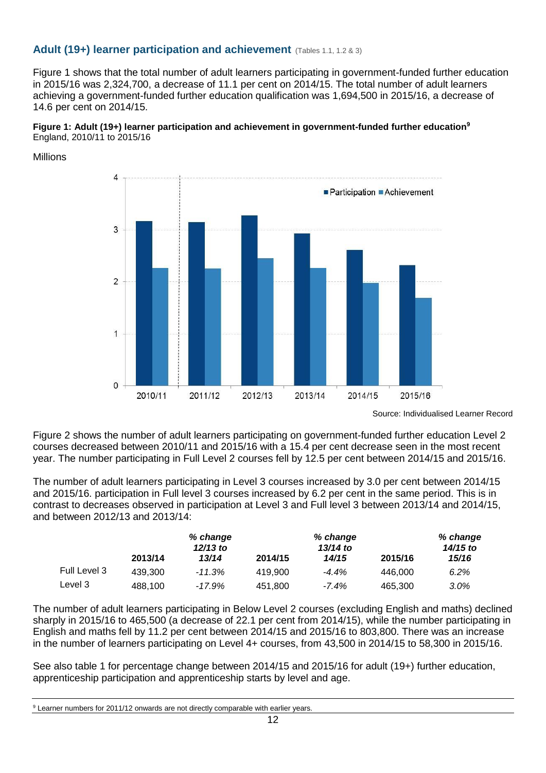### <span id="page-11-0"></span>**Adult (19+) learner participation and achievement** (Tables 1.1, 1.2 & 3)

Figure 1 shows that the total number of adult learners participating in government-funded further education in 2015/16 was 2,324,700, a decrease of 11.1 per cent on 2014/15. The total number of adult learners achieving a government-funded further education qualification was 1,694,500 in 2015/16, a decrease of 14.6 per cent on 2014/15.



Millions



Source: Individualised Learner Record

Figure 2 shows the number of adult learners participating on government-funded further education Level 2 courses decreased between 2010/11 and 2015/16 with a 15.4 per cent decrease seen in the most recent year. The number participating in Full Level 2 courses fell by 12.5 per cent between 2014/15 and 2015/16.

The number of adult learners participating in Level 3 courses increased by 3.0 per cent between 2014/15 and 2015/16. participation in Full level 3 courses increased by 6.2 per cent in the same period. This is in contrast to decreases observed in participation at Level 3 and Full level 3 between 2013/14 and 2014/15, and between 2012/13 and 2013/14:

|              | % change |            |         | % change   |         | % change |  |
|--------------|----------|------------|---------|------------|---------|----------|--|
|              |          | $12/13$ to |         | $13/14$ to |         |          |  |
|              | 2013/14  | 13/14      | 2014/15 | 14/15      | 2015/16 | 15/16    |  |
| Full Level 3 | 439.300  | $-11.3%$   | 419.900 | $-4.4%$    | 446.000 | 6.2%     |  |
| Level 3      | 488.100  | -17.9%     | 451,800 | $-7.4\%$   | 465.300 | $3.0\%$  |  |

The number of adult learners participating in Below Level 2 courses (excluding English and maths) declined sharply in 2015/16 to 465,500 (a decrease of 22.1 per cent from 2014/15), while the number participating in English and maths fell by 11.2 per cent between 2014/15 and 2015/16 to 803,800. There was an increase in the number of learners participating on Level 4+ courses, from 43,500 in 2014/15 to 58,300 in 2015/16.

See also table 1 for percentage change between 2014/15 and 2015/16 for adult (19+) further education, apprenticeship participation and apprenticeship starts by level and age.

<sup>&</sup>lt;sup>9</sup> Learner numbers for 2011/12 onwards are not directly comparable with earlier years.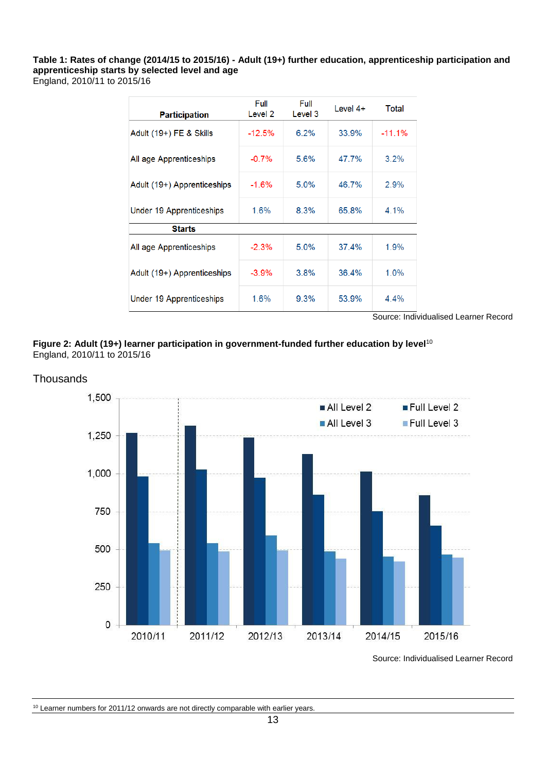**Table 1: Rates of change (2014/15 to 2015/16) - Adult (19+) further education, apprenticeship participation and apprenticeship starts by selected level and age** England, 2010/11 to 2015/16

| <b>Participation</b>        | Full<br>Level 2 | Full<br>Level 3 | Level $4+$ | Total    |
|-----------------------------|-----------------|-----------------|------------|----------|
| Adult (19+) FE & Skills     | $-12.5%$        | $6.2\%$         | 33.9%      | $-11.1%$ |
| All age Apprenticeships     | $-0.7\%$        | 5.6%            | 47.7%      | 3.2%     |
| Adult (19+) Apprenticeships | $-1.6%$         | 5.0%            | 46.7%      | 2.9%     |
| Under 19 Apprenticeships    | $1.6\%$         | $8.3\%$         | 65.8%      | 4.1%     |
| <b>Starts</b>               |                 |                 |            |          |
| All age Apprenticeships     | $-2.3%$         | $5.0\%$         | 37.4%      | 1.9%     |
| Adult (19+) Apprenticeships | $-3.9\%$        | $3.8\%$         | 36.4%      | $1.0\%$  |
| Under 19 Apprenticeships    | 1.6%            | $9.3\%$         | 53.9%      | $4.4\%$  |

Source: Individualised Learner Record

**Figure 2: Adult (19+) learner participation in government-funded further education by level**<sup>10</sup> England, 2010/11 to 2015/16



Source: Individualised Learner Record

#### <sup>10</sup> Learner numbers for 2011/12 onwards are not directly comparable with earlier years.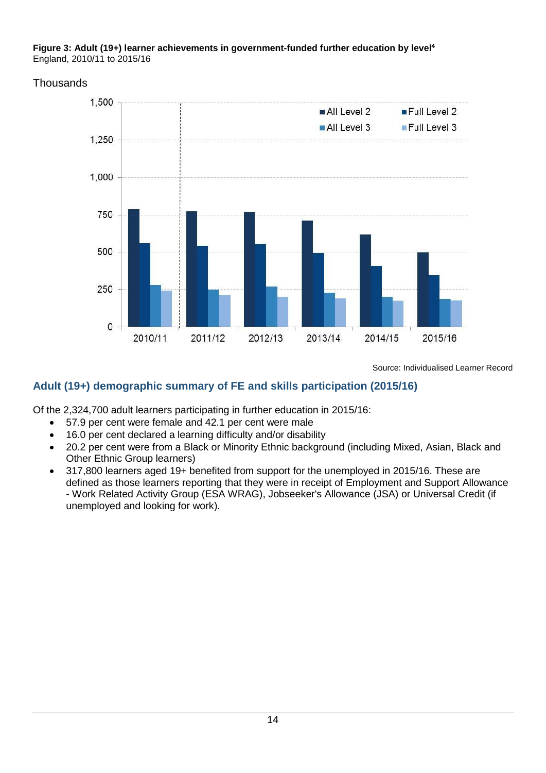#### **Figure 3: Adult (19+) learner achievements in government-funded further education by level<sup>4</sup>** England, 2010/11 to 2015/16

## **Thousands**



Source: Individualised Learner Record

# **Adult (19+) demographic summary of FE and skills participation (2015/16)**

Of the 2,324,700 adult learners participating in further education in 2015/16:

- 57.9 per cent were female and 42.1 per cent were male
- 16.0 per cent declared a learning difficulty and/or disability
- 20.2 per cent were from a Black or Minority Ethnic background (including Mixed, Asian, Black and Other Ethnic Group learners)
- 317,800 learners aged 19+ benefited from support for the unemployed in 2015/16. These are defined as those learners reporting that they were in receipt of Employment and Support Allowance - Work Related Activity Group (ESA WRAG), Jobseeker's Allowance (JSA) or Universal Credit (if unemployed and looking for work).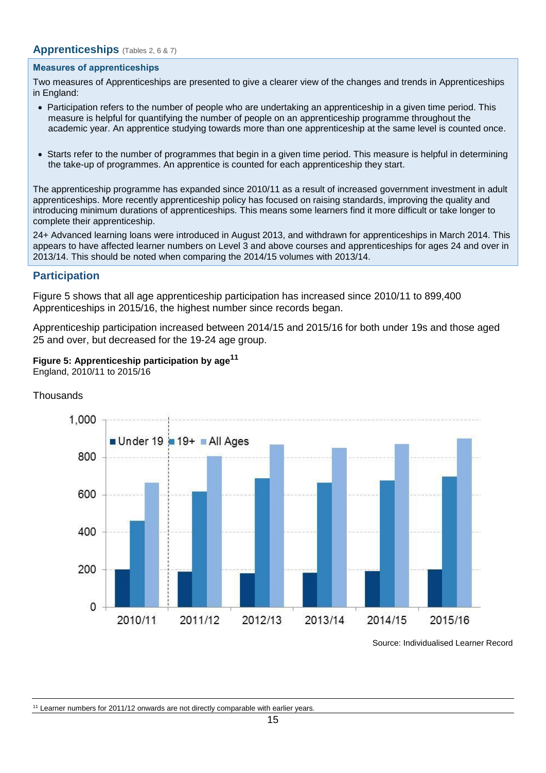#### <span id="page-14-0"></span>**Apprenticeships** (Tables 2, <sup>6</sup> & 7)

#### **Measures of apprenticeships**

Two measures of Apprenticeships are presented to give a clearer view of the changes and trends in Apprenticeships in England:

- Participation refers to the number of people who are undertaking an apprenticeship in a given time period. This measure is helpful for quantifying the number of people on an apprenticeship programme throughout the academic year. An apprentice studying towards more than one apprenticeship at the same level is counted once.
- Starts refer to the number of programmes that begin in a given time period. This measure is helpful in determining the take-up of programmes. An apprentice is counted for each apprenticeship they start.

The apprenticeship programme has expanded since 2010/11 as a result of increased government investment in adult apprenticeships. More recently apprenticeship policy has focused on raising standards, improving the quality and introducing minimum durations of apprenticeships. This means some learners find it more difficult or take longer to complete their apprenticeship.

24+ Advanced learning loans were introduced in August 2013, and withdrawn for apprenticeships in March 2014. This appears to have affected learner numbers on Level 3 and above courses and apprenticeships for ages 24 and over in 2013/14. This should be noted when comparing the 2014/15 volumes with 2013/14.

#### **Participation**

Figure 5 shows that all age apprenticeship participation has increased since 2010/11 to 899,400 Apprenticeships in 2015/16, the highest number since records began.

Apprenticeship participation increased between 2014/15 and 2015/16 for both under 19s and those aged 25 and over, but decreased for the 19-24 age group.

## **Figure 5: Apprenticeship participation by age<sup>11</sup>**

England, 2010/11 to 2015/16



**Thousands** 

Source: Individualised Learner Record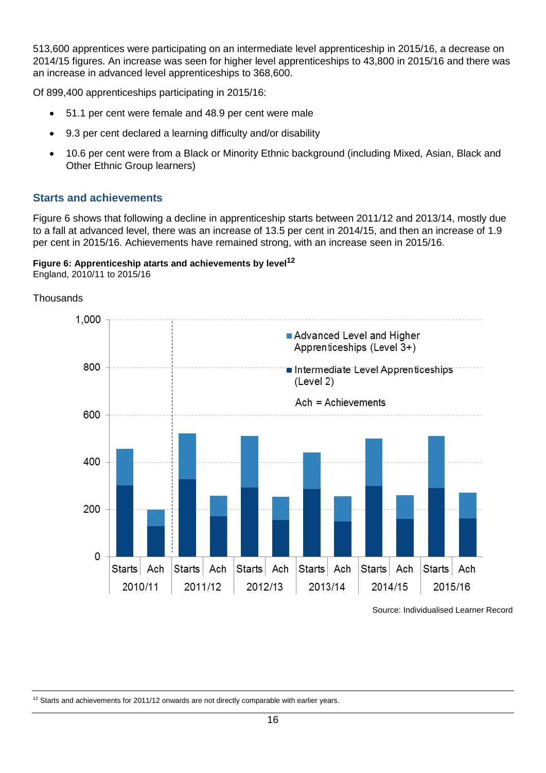513,600 apprentices were participating on an intermediate level apprenticeship in 2015/16, a decrease on 2014/15 figures. An increase was seen for higher level apprenticeships to 43,800 in 2015/16 and there was an increase in advanced level apprenticeships to 368,600.

Of 899,400 apprenticeships participating in 2015/16:

- 51.1 per cent were female and 48.9 per cent were male
- 9.3 per cent declared a learning difficulty and/or disability
- 10.6 per cent were from a Black or Minority Ethnic background (including Mixed, Asian, Black and Other Ethnic Group learners)

### **Starts and achievements**

Figure 6 shows that following a decline in apprenticeship starts between 2011/12 and 2013/14, mostly due to a fall at advanced level, there was an increase of 13.5 per cent in 2014/15, and then an increase of 1.9 per cent in 2015/16. Achievements have remained strong, with an increase seen in 2015/16.

#### **Figure 6: Apprenticeship atarts and achievements by level<sup>12</sup>** England, 2010/11 to 2015/16



Source: Individualised Learner Record

 $12$  Starts and achievements for 2011/12 onwards are not directly comparable with earlier years.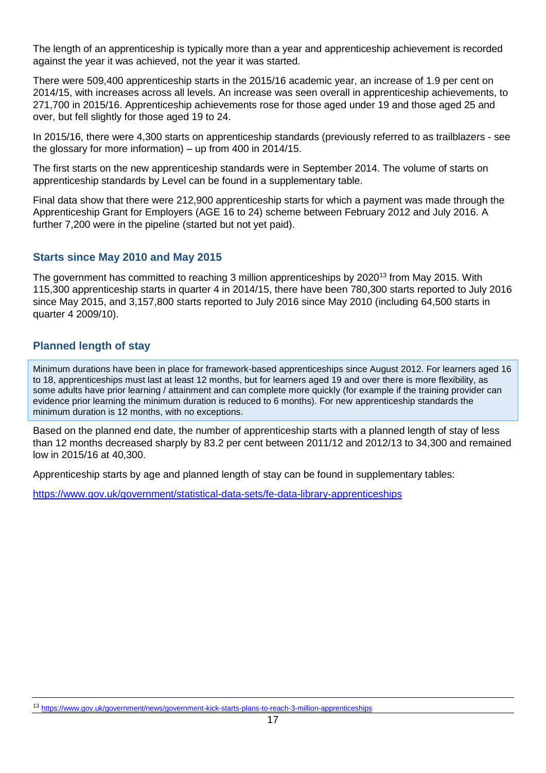The length of an apprenticeship is typically more than a year and apprenticeship achievement is recorded against the year it was achieved, not the year it was started.

There were 509,400 apprenticeship starts in the 2015/16 academic year, an increase of 1.9 per cent on 2014/15, with increases across all levels. An increase was seen overall in apprenticeship achievements, to 271,700 in 2015/16. Apprenticeship achievements rose for those aged under 19 and those aged 25 and over, but fell slightly for those aged 19 to 24.

In 2015/16, there were 4,300 starts on apprenticeship standards (previously referred to as trailblazers - see the glossary for more information) – up from 400 in 2014/15.

The first starts on the new apprenticeship standards were in September 2014. The volume of starts on apprenticeship standards by Level can be found in a supplementary table.

Final data show that there were 212,900 apprenticeship starts for which a payment was made through the Apprenticeship Grant for Employers (AGE 16 to 24) scheme between February 2012 and July 2016. A further 7,200 were in the pipeline (started but not yet paid).

#### **Starts since May 2010 and May 2015**

The government has committed to reaching 3 million apprenticeships by 2020<sup>13</sup> from May 2015. With 115,300 apprenticeship starts in quarter 4 in 2014/15, there have been 780,300 starts reported to July 2016 since May 2015, and 3,157,800 starts reported to July 2016 since May 2010 (including 64,500 starts in quarter 4 2009/10).

### **Planned length of stay**

Minimum durations have been in place for framework-based apprenticeships since August 2012. For learners aged 16 to 18, apprenticeships must last at least 12 months, but for learners aged 19 and over there is more flexibility, as some adults have prior learning / attainment and can complete more quickly (for example if the training provider can evidence prior learning the minimum duration is reduced to 6 months). For new apprenticeship standards the minimum duration is 12 months, with no exceptions.

Based on the planned end date, the number of apprenticeship starts with a planned length of stay of less than 12 months decreased sharply by 83.2 per cent between 2011/12 and 2012/13 to 34,300 and remained low in 2015/16 at 40,300.

Apprenticeship starts by age and planned length of stay can be found in supplementary tables:

<https://www.gov.uk/government/statistical-data-sets/fe-data-library-apprenticeships>

<sup>13</sup> <https://www.gov.uk/government/news/government-kick-starts-plans-to-reach-3-million-apprenticeships>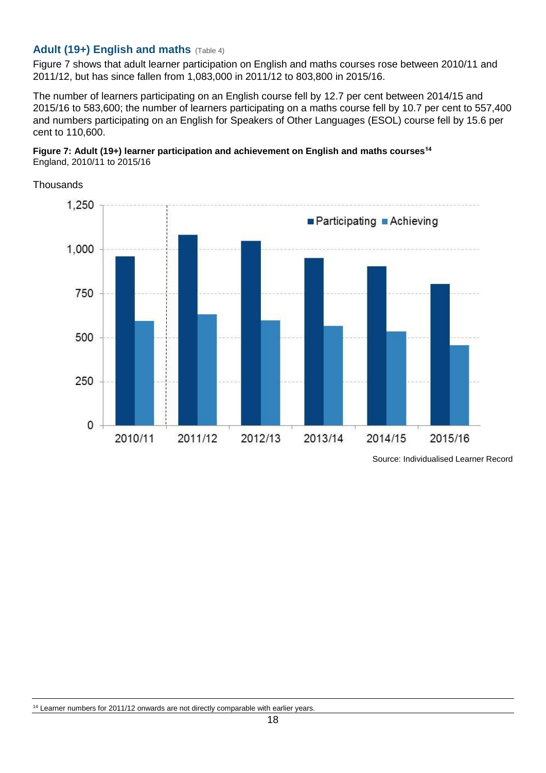### <span id="page-17-0"></span>**Adult (19+) English and maths** (Table 4)

Figure 7 shows that adult learner participation on English and maths courses rose between 2010/11 and 2011/12, but has since fallen from 1,083,000 in 2011/12 to 803,800 in 2015/16.

The number of learners participating on an English course fell by 12.7 per cent between 2014/15 and 2015/16 to 583,600; the number of learners participating on a maths course fell by 10.7 per cent to 557,400 and numbers participating on an English for Speakers of Other Languages (ESOL) course fell by 15.6 per cent to 110,600.





Source: Individualised Learner Record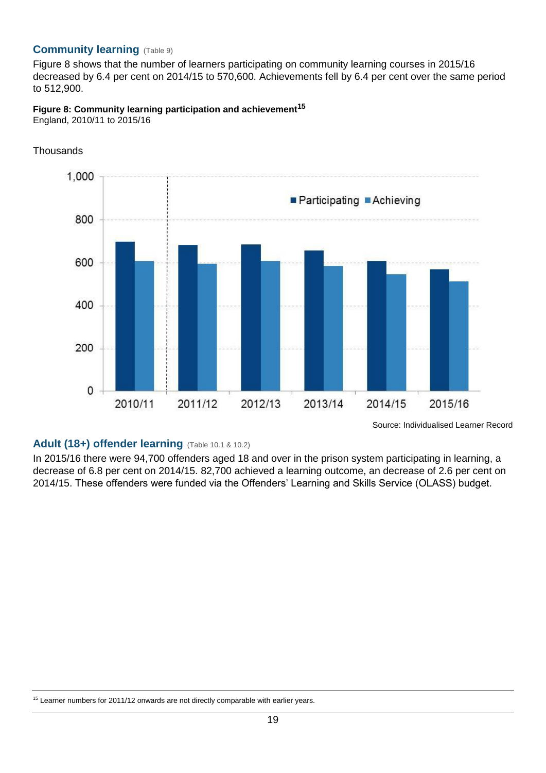### <span id="page-18-0"></span>**Community learning** (Table 9)

Figure 8 shows that the number of learners participating on community learning courses in 2015/16 decreased by 6.4 per cent on 2014/15 to 570,600. Achievements fell by 6.4 per cent over the same period to 512,900.

# **Figure 8: Community learning participation and achievement<sup>15</sup>**

England, 2010/11 to 2015/16



**Thousands** 

### <span id="page-18-1"></span>Adult (18+) offender learning (Table 10.1 & 10.2)

In 2015/16 there were 94,700 offenders aged 18 and over in the prison system participating in learning, a decrease of 6.8 per cent on 2014/15. 82,700 achieved a learning outcome, an decrease of 2.6 per cent on 2014/15. These offenders were funded via the Offenders' Learning and Skills Service (OLASS) budget.

<sup>&</sup>lt;sup>15</sup> Learner numbers for 2011/12 onwards are not directly comparable with earlier years.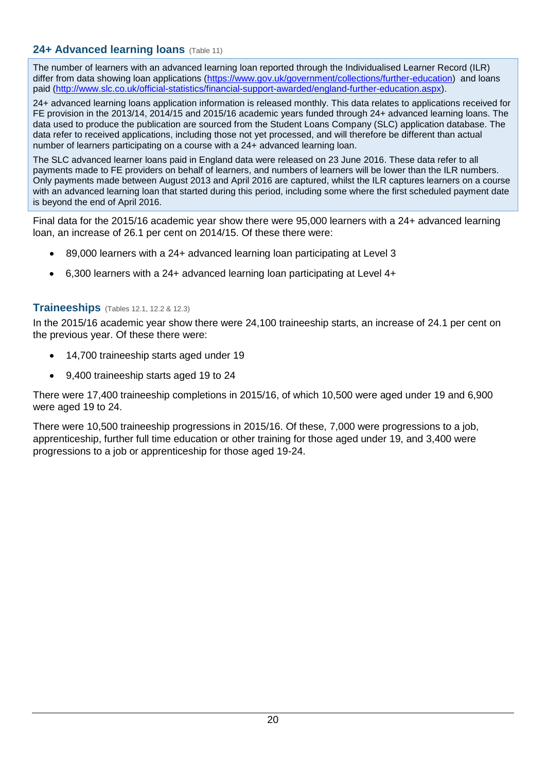## <span id="page-19-0"></span>**24+ Advanced learning loans** (Table 11)

The number of learners with an advanced learning loan reported through the Individualised Learner Record (ILR) differ from data showing loan applications [\(https://www.gov.uk/government/collections/further-education\)](https://www.gov.uk/government/collections/further-education) and loans paid [\(http://www.slc.co.uk/official-statistics/financial-support-awarded/england-further-education.aspx\)](http://www.slc.co.uk/official-statistics/financial-support-awarded/england-further-education.aspx).

24+ advanced learning loans application information is released monthly. This data relates to applications received for FE provision in the 2013/14, 2014/15 and 2015/16 academic years funded through 24+ advanced learning loans. The data used to produce the publication are sourced from the Student Loans Company (SLC) application database. The data refer to received applications, including those not yet processed, and will therefore be different than actual number of learners participating on a course with a 24+ advanced learning loan.

The SLC advanced learner loans paid in England data were released on 23 June 2016. These data refer to all payments made to FE providers on behalf of learners, and numbers of learners will be lower than the ILR numbers. Only payments made between August 2013 and April 2016 are captured, whilst the ILR captures learners on a course with an advanced learning loan that started during this period, including some where the first scheduled payment date is beyond the end of April 2016.

Final data for the 2015/16 academic year show there were 95,000 learners with a 24+ advanced learning loan, an increase of 26.1 per cent on 2014/15. Of these there were:

- 89,000 learners with a 24+ advanced learning loan participating at Level 3
- 6,300 learners with a 24+ advanced learning loan participating at Level 4+

## <span id="page-19-1"></span>**Traineeships** (Tables 12.1, 12.2 & 12.3)

In the 2015/16 academic year show there were 24,100 traineeship starts, an increase of 24.1 per cent on the previous year. Of these there were:

- 14,700 traineeship starts aged under 19
- 9,400 traineeship starts aged 19 to 24

There were 17,400 traineeship completions in 2015/16, of which 10,500 were aged under 19 and 6,900 were aged 19 to 24.

There were 10,500 traineeship progressions in 2015/16. Of these, 7,000 were progressions to a job, apprenticeship, further full time education or other training for those aged under 19, and 3,400 were progressions to a job or apprenticeship for those aged 19-24.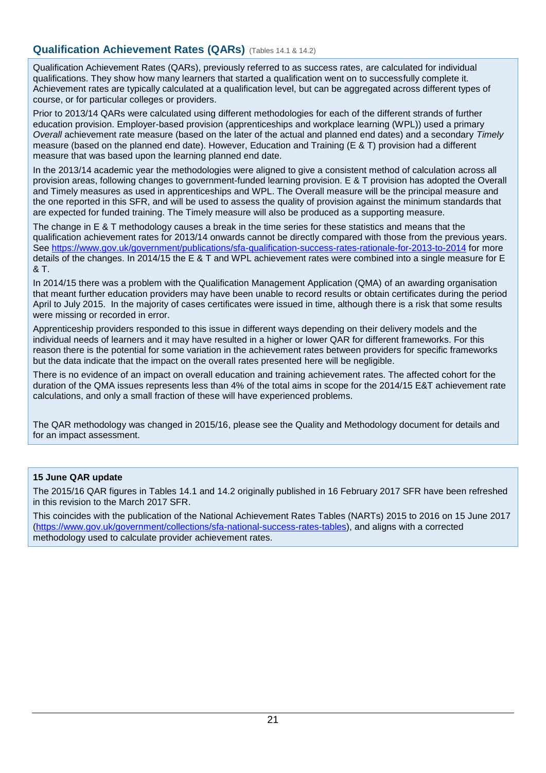## <span id="page-20-0"></span>**Qualification Achievement Rates (QARs)** (Tables 14.1 & 14.2)

Qualification Achievement Rates (QARs), previously referred to as success rates, are calculated for individual qualifications. They show how many learners that started a qualification went on to successfully complete it. Achievement rates are typically calculated at a qualification level, but can be aggregated across different types of course, or for particular colleges or providers.

Prior to 2013/14 QARs were calculated using different methodologies for each of the different strands of further education provision. Employer-based provision (apprenticeships and workplace learning (WPL)) used a primary *Overall* achievement rate measure (based on the later of the actual and planned end dates) and a secondary *Timely* measure (based on the planned end date). However, Education and Training (E & T) provision had a different measure that was based upon the learning planned end date.

In the 2013/14 academic year the methodologies were aligned to give a consistent method of calculation across all provision areas, following changes to government-funded learning provision. E & T provision has adopted the Overall and Timely measures as used in apprenticeships and WPL. The Overall measure will be the principal measure and the one reported in this SFR, and will be used to assess the quality of provision against the minimum standards that are expected for funded training. The Timely measure will also be produced as a supporting measure.

The change in E & T methodology causes a break in the time series for these statistics and means that the qualification achievement rates for 2013/14 onwards cannot be directly compared with those from the previous years. See<https://www.gov.uk/government/publications/sfa-qualification-success-rates-rationale-for-2013-to-2014> for more details of the changes. In 2014/15 the E & T and WPL achievement rates were combined into a single measure for E & T.

In 2014/15 there was a problem with the Qualification Management Application (QMA) of an awarding organisation that meant further education providers may have been unable to record results or obtain certificates during the period April to July 2015. In the majority of cases certificates were issued in time, although there is a risk that some results were missing or recorded in error.

Apprenticeship providers responded to this issue in different ways depending on their delivery models and the individual needs of learners and it may have resulted in a higher or lower QAR for different frameworks. For this reason there is the potential for some variation in the achievement rates between providers for specific frameworks but the data indicate that the impact on the overall rates presented here will be negligible.

There is no evidence of an impact on overall education and training achievement rates. The affected cohort for the duration of the QMA issues represents less than 4% of the total aims in scope for the 2014/15 E&T achievement rate calculations, and only a small fraction of these will have experienced problems.

The QAR methodology was changed in 2015/16, please see the Quality and Methodology document for details and for an impact assessment.

#### **15 June QAR update**

The 2015/16 QAR figures in Tables 14.1 and 14.2 originally published in 16 February 2017 SFR have been refreshed in this revision to the March 2017 SFR.

This coincides with the publication of the National Achievement Rates Tables (NARTs) 2015 to 2016 on 15 June 2017 [\(https://www.gov.uk/government/collections/sfa-national-success-rates-tables\)](https://www.gov.uk/government/collections/sfa-national-success-rates-tables), and aligns with a corrected methodology used to calculate provider achievement rates.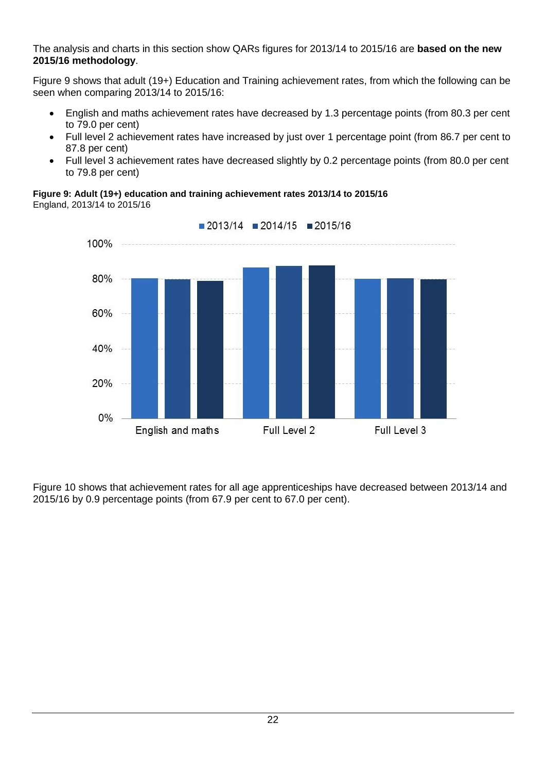The analysis and charts in this section show QARs figures for 2013/14 to 2015/16 are **based on the new 2015/16 methodology**.

Figure 9 shows that adult (19+) Education and Training achievement rates, from which the following can be seen when comparing 2013/14 to 2015/16:

- English and maths achievement rates have decreased by 1.3 percentage points (from 80.3 per cent to 79.0 per cent)
- Full level 2 achievement rates have increased by just over 1 percentage point (from 86.7 per cent to 87.8 per cent)
- Full level 3 achievement rates have decreased slightly by 0.2 percentage points (from 80.0 per cent to 79.8 per cent)

**Figure 9: Adult (19+) education and training achievement rates 2013/14 to 2015/16**

England, 2013/14 to 2015/16



 $\blacksquare$  2013/14  $\blacksquare$  2014/15  $\blacksquare$  2015/16

Figure 10 shows that achievement rates for all age apprenticeships have decreased between 2013/14 and 2015/16 by 0.9 percentage points (from 67.9 per cent to 67.0 per cent).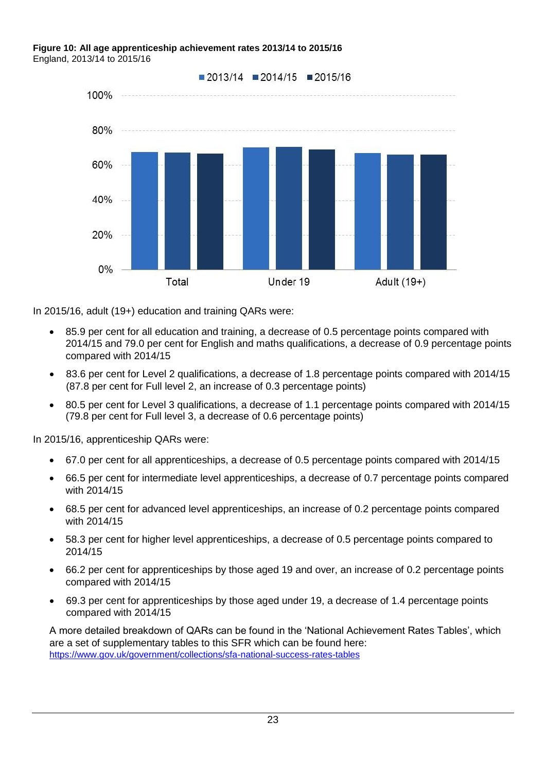#### **Figure 10: All age apprenticeship achievement rates 2013/14 to 2015/16** England, 2013/14 to 2015/16



In 2015/16, adult (19+) education and training QARs were:

- 85.9 per cent for all education and training, a decrease of 0.5 percentage points compared with 2014/15 and 79.0 per cent for English and maths qualifications, a decrease of 0.9 percentage points compared with 2014/15
- 83.6 per cent for Level 2 qualifications, a decrease of 1.8 percentage points compared with 2014/15 (87.8 per cent for Full level 2, an increase of 0.3 percentage points)
- 80.5 per cent for Level 3 qualifications, a decrease of 1.1 percentage points compared with 2014/15 (79.8 per cent for Full level 3, a decrease of 0.6 percentage points)

In 2015/16, apprenticeship QARs were:

- 67.0 per cent for all apprenticeships, a decrease of 0.5 percentage points compared with 2014/15
- 66.5 per cent for intermediate level apprenticeships, a decrease of 0.7 percentage points compared with 2014/15
- 68.5 per cent for advanced level apprenticeships, an increase of 0.2 percentage points compared with 2014/15
- 58.3 per cent for higher level apprenticeships, a decrease of 0.5 percentage points compared to 2014/15
- 66.2 per cent for apprenticeships by those aged 19 and over, an increase of 0.2 percentage points compared with 2014/15
- 69.3 per cent for apprenticeships by those aged under 19, a decrease of 1.4 percentage points compared with 2014/15

A more detailed breakdown of QARs can be found in the 'National Achievement Rates Tables', which are a set of supplementary tables to this SFR which can be found here: <https://www.gov.uk/government/collections/sfa-national-success-rates-tables>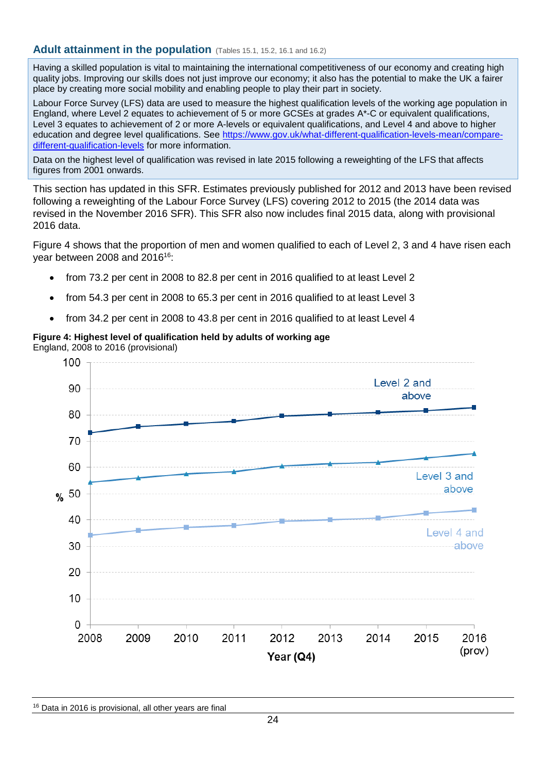### <span id="page-23-0"></span>**Adult attainment in the population** (Tables 15.1, 15.2, 16.1 and 16.2)

Having a skilled population is vital to maintaining the international competitiveness of our economy and creating high quality jobs. Improving our skills does not just improve our economy; it also has the potential to make the UK a fairer place by creating more social mobility and enabling people to play their part in society.

Labour Force Survey (LFS) data are used to measure the highest qualification levels of the working age population in England, where Level 2 equates to achievement of 5 or more GCSEs at grades A\*-C or equivalent qualifications, Level 3 equates to achievement of 2 or more A-levels or equivalent qualifications, and Level 4 and above to higher education and degree level qualifications. See [https://www.gov.uk/what-different-qualification-levels-mean/compare](https://www.gov.uk/what-different-qualification-levels-mean/compare-different-qualification-levels)[different-qualification-levels](https://www.gov.uk/what-different-qualification-levels-mean/compare-different-qualification-levels) for more information.

Data on the highest level of qualification was revised in late 2015 following a reweighting of the LFS that affects figures from 2001 onwards.

This section has updated in this SFR. Estimates previously published for 2012 and 2013 have been revised following a reweighting of the Labour Force Survey (LFS) covering 2012 to 2015 (the 2014 data was revised in the November 2016 SFR). This SFR also now includes final 2015 data, along with provisional 2016 data.

Figure 4 shows that the proportion of men and women qualified to each of Level 2, 3 and 4 have risen each year between 2008 and 2016<sup>16</sup>:

- from 73.2 per cent in 2008 to 82.8 per cent in 2016 qualified to at least Level 2
- from 54.3 per cent in 2008 to 65.3 per cent in 2016 qualified to at least Level 3
- from 34.2 per cent in 2008 to 43.8 per cent in 2016 qualified to at least Level 4

# **Figure 4: Highest level of qualification held by adults of working age**

England, 2008 to 2016 (provisional)



<sup>16</sup> Data in 2016 is provisional, all other years are final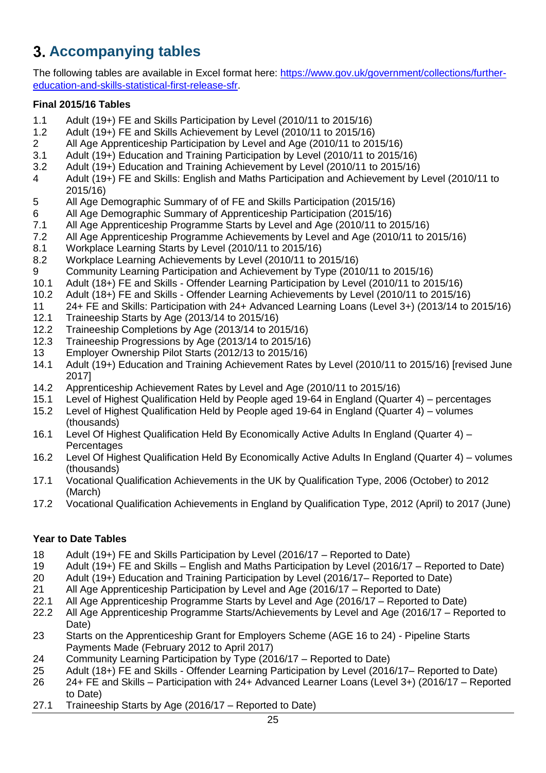# <span id="page-24-0"></span>**Accompanying tables**

The following tables are available in Excel format here: [https://www.gov.uk/government/collections/further](https://www.gov.uk/government/collections/further-education-and-skills-statistical-first-release-sfr)[education-and-skills-statistical-first-release-sfr.](https://www.gov.uk/government/collections/further-education-and-skills-statistical-first-release-sfr)

### **Final 2015/16 Tables**

- 1.1 Adult (19+) FE and Skills Participation by Level (2010/11 to 2015/16)
- 1.2 Adult (19+) FE and Skills Achievement by Level (2010/11 to 2015/16)
- 2 All Age Apprenticeship Participation by Level and Age (2010/11 to 2015/16)
- 3.1 Adult (19+) Education and Training Participation by Level (2010/11 to 2015/16)
- 3.2 Adult (19+) Education and Training Achievement by Level (2010/11 to 2015/16)
- 4 Adult (19+) FE and Skills: English and Maths Participation and Achievement by Level (2010/11 to 2015/16)
- 5 All Age Demographic Summary of of FE and Skills Participation (2015/16)
- 6 All Age Demographic Summary of Apprenticeship Participation (2015/16)
- 7.1 All Age Apprenticeship Programme Starts by Level and Age (2010/11 to 2015/16)<br>7.2 All Age Apprenticeship Programme Achievements by Level and Age (2010/11 to 2
- 7.2 All Age Apprenticeship Programme Achievements by Level and Age (2010/11 to 2015/16)
- 8.1 Workplace Learning Starts by Level (2010/11 to 2015/16)
- 8.2 Workplace Learning Achievements by Level (2010/11 to 2015/16)
- 9 Community Learning Participation and Achievement by Type (2010/11 to 2015/16)
- 10.1 Adult (18+) FE and Skills Offender Learning Participation by Level (2010/11 to 2015/16)
- 10.2 Adult (18+) FE and Skills Offender Learning Achievements by Level (2010/11 to 2015/16)
- 11 24+ FE and Skills: Participation with 24+ Advanced Learning Loans (Level 3+) (2013/14 to 2015/16)
- 12.1 Traineeship Starts by Age (2013/14 to 2015/16)
- 12.2 Traineeship Completions by Age (2013/14 to 2015/16)
- 12.3 Traineeship Progressions by Age (2013/14 to 2015/16)
- 13 Employer Ownership Pilot Starts (2012/13 to 2015/16)
- 14.1 Adult (19+) Education and Training Achievement Rates by Level (2010/11 to 2015/16) [revised June 2017]
- 14.2 Apprenticeship Achievement Rates by Level and Age (2010/11 to 2015/16)
- 15.1 Level of Highest Qualification Held by People aged 19-64 in England (Quarter 4) percentages
- 15.2 Level of Highest Qualification Held by People aged 19-64 in England (Quarter 4) volumes (thousands)
- 16.1 Level Of Highest Qualification Held By Economically Active Adults In England (Quarter 4) **Percentages**
- 16.2 Level Of Highest Qualification Held By Economically Active Adults In England (Quarter 4) volumes (thousands)
- 17.1 Vocational Qualification Achievements in the UK by Qualification Type, 2006 (October) to 2012 (March)
- 17.2 Vocational Qualification Achievements in England by Qualification Type, 2012 (April) to 2017 (June)

### **Year to Date Tables**

- 18 Adult (19+) FE and Skills Participation by Level (2016/17 Reported to Date)
- 19 Adult (19+) FE and Skills English and Maths Participation by Level (2016/17 Reported to Date)
- 20 Adult (19+) Education and Training Participation by Level (2016/17– Reported to Date)
- 21 All Age Apprenticeship Participation by Level and Age (2016/17 Reported to Date)
- 22.1 All Age Apprenticeship Programme Starts by Level and Age (2016/17 Reported to Date)
- 22.2 All Age Apprenticeship Programme Starts/Achievements by Level and Age (2016/17 Reported to Date)
- 23 Starts on the Apprenticeship Grant for Employers Scheme (AGE 16 to 24) Pipeline Starts Payments Made (February 2012 to April 2017)
- 24 Community Learning Participation by Type (2016/17 Reported to Date)
- 25 Adult (18+) FE and Skills Offender Learning Participation by Level (2016/17– Reported to Date)
- 26 24+ FE and Skills Participation with 24+ Advanced Learner Loans (Level 3+) (2016/17 Reported to Date)
- 27.1 Traineeship Starts by Age (2016/17 Reported to Date)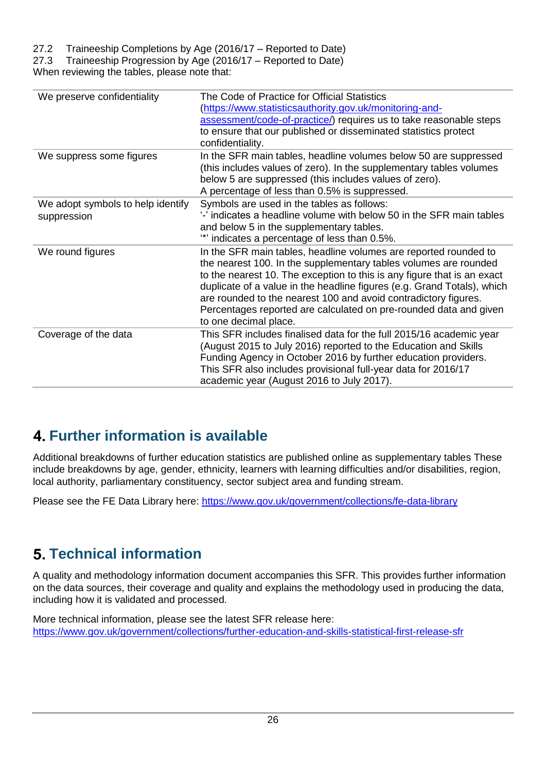## 27.2 Traineeship Completions by Age (2016/17 – Reported to Date)

27.3 Traineeship Progression by Age (2016/17 – Reported to Date)

When reviewing the tables, please note that:

| We preserve confidentiality                      | The Code of Practice for Official Statistics<br>(https://www.statisticsauthority.gov.uk/monitoring-and-<br>assessment/code-of-practice/) requires us to take reasonable steps<br>to ensure that our published or disseminated statistics protect<br>confidentiality.                                                                                                                                                                                        |
|--------------------------------------------------|-------------------------------------------------------------------------------------------------------------------------------------------------------------------------------------------------------------------------------------------------------------------------------------------------------------------------------------------------------------------------------------------------------------------------------------------------------------|
| We suppress some figures                         | In the SFR main tables, headline volumes below 50 are suppressed<br>(this includes values of zero). In the supplementary tables volumes<br>below 5 are suppressed (this includes values of zero).<br>A percentage of less than 0.5% is suppressed.                                                                                                                                                                                                          |
| We adopt symbols to help identify<br>suppression | Symbols are used in the tables as follows:<br>'-' indicates a headline volume with below 50 in the SFR main tables<br>and below 5 in the supplementary tables.<br>"" indicates a percentage of less than 0.5%.                                                                                                                                                                                                                                              |
| We round figures                                 | In the SFR main tables, headline volumes are reported rounded to<br>the nearest 100. In the supplementary tables volumes are rounded<br>to the nearest 10. The exception to this is any figure that is an exact<br>duplicate of a value in the headline figures (e.g. Grand Totals), which<br>are rounded to the nearest 100 and avoid contradictory figures.<br>Percentages reported are calculated on pre-rounded data and given<br>to one decimal place. |
| Coverage of the data                             | This SFR includes finalised data for the full 2015/16 academic year<br>(August 2015 to July 2016) reported to the Education and Skills<br>Funding Agency in October 2016 by further education providers.<br>This SFR also includes provisional full-year data for 2016/17<br>academic year (August 2016 to July 2017).                                                                                                                                      |

# <span id="page-25-0"></span>**Further information is available**

Additional breakdowns of further education statistics are published online as supplementary tables These include breakdowns by age, gender, ethnicity, learners with learning difficulties and/or disabilities, region, local authority, parliamentary constituency, sector subject area and funding stream.

Please see the FE Data Library here:<https://www.gov.uk/government/collections/fe-data-library>

# <span id="page-25-1"></span>**Technical information**

A quality and methodology information document accompanies this SFR. This provides further information on the data sources, their coverage and quality and explains the methodology used in producing the data, including how it is validated and processed.

More technical information, please see the latest SFR release here: <https://www.gov.uk/government/collections/further-education-and-skills-statistical-first-release-sfr>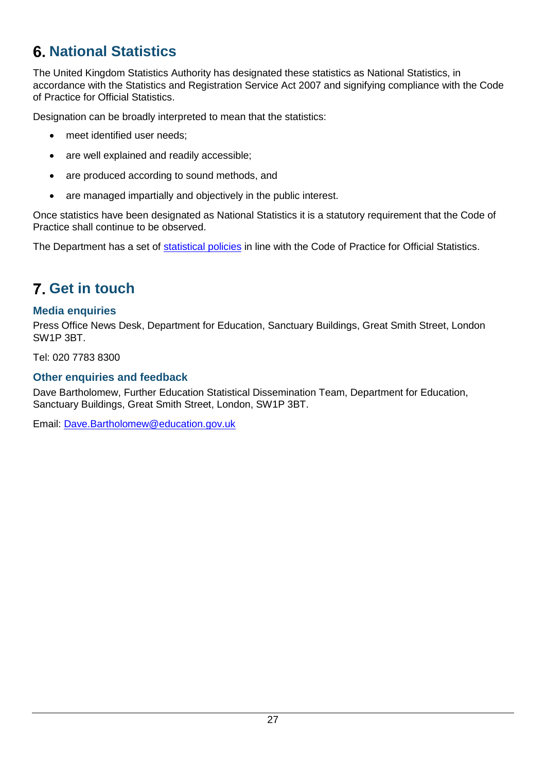# <span id="page-26-0"></span>**National Statistics**

The United Kingdom Statistics Authority has designated these statistics as National Statistics, in accordance with the Statistics and Registration Service Act 2007 and signifying compliance with the Code of Practice for Official Statistics.

Designation can be broadly interpreted to mean that the statistics:

- meet identified user needs;
- are well explained and readily accessible;
- are produced according to sound methods, and
- are managed impartially and objectively in the public interest.

Once statistics have been designated as National Statistics it is a statutory requirement that the Code of Practice shall continue to be observed.

The Department has a set of [statistical policies](http://www.gov.uk/government/publications/standards-for-official-statistics-published-by-the-department-for-education) in line with the Code of Practice for Official Statistics.

# <span id="page-26-1"></span>**Get in touch**

## <span id="page-26-2"></span>**Media enquiries**

Press Office News Desk, Department for Education, Sanctuary Buildings, Great Smith Street, London SW1P 3BT.

Tel: 020 7783 8300

# <span id="page-26-3"></span>**Other enquiries and feedback**

Dave Bartholomew, Further Education Statistical Dissemination Team, Department for Education, Sanctuary Buildings, Great Smith Street, London, SW1P 3BT.

Email: [Dave.Bartholomew@education.gov.uk](mailto:Dave.Bartholomew@education.gov.uk)